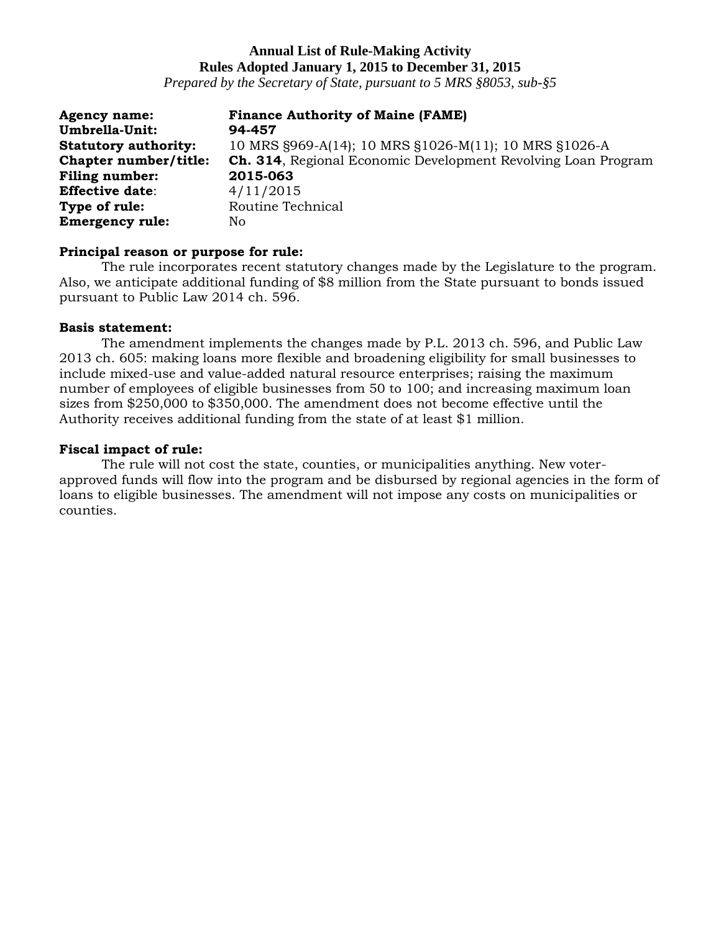*Prepared by the Secretary of State, pursuant to 5 MRS §8053, sub-§5*

| <b>Agency name:</b>         | <b>Finance Authority of Maine (FAME)</b>                             |
|-----------------------------|----------------------------------------------------------------------|
| Umbrella-Unit:              | 94-457                                                               |
| <b>Statutory authority:</b> | 10 MRS §969-A(14); 10 MRS §1026-M(11); 10 MRS §1026-A                |
| Chapter number/title:       | <b>Ch. 314, Regional Economic Development Revolving Loan Program</b> |
| <b>Filing number:</b>       | 2015-063                                                             |
| <b>Effective date:</b>      | 4/11/2015                                                            |
| Type of rule:               | Routine Technical                                                    |
| <b>Emergency rule:</b>      | Nο                                                                   |

### **Principal reason or purpose for rule:**

The rule incorporates recent statutory changes made by the Legislature to the program. Also, we anticipate additional funding of \$8 million from the State pursuant to bonds issued pursuant to Public Law 2014 ch. 596.

### **Basis statement:**

The amendment implements the changes made by P.L. 2013 ch. 596, and Public Law 2013 ch. 605: making loans more flexible and broadening eligibility for small businesses to include mixed-use and value-added natural resource enterprises; raising the maximum number of employees of eligible businesses from 50 to 100; and increasing maximum loan sizes from \$250,000 to \$350,000. The amendment does not become effective until the Authority receives additional funding from the state of at least \$1 million.

## **Fiscal impact of rule:**

The rule will not cost the state, counties, or municipalities anything. New voterapproved funds will flow into the program and be disbursed by regional agencies in the form of loans to eligible businesses. The amendment will not impose any costs on municipalities or counties.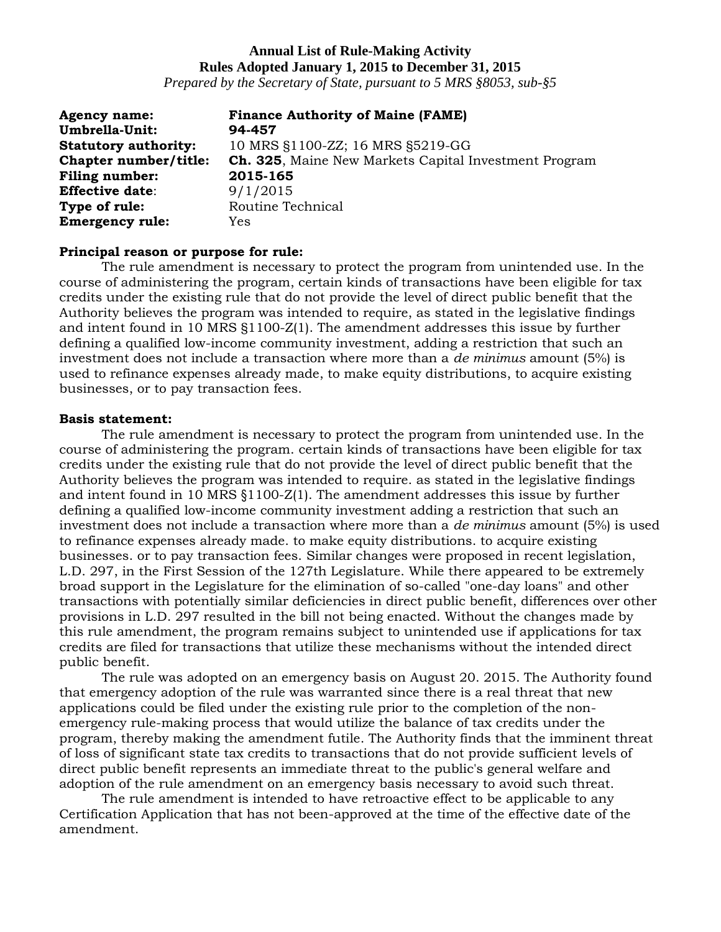*Prepared by the Secretary of State, pursuant to 5 MRS §8053, sub-§5*

| <b>Agency name:</b>         | <b>Finance Authority of Maine (FAME)</b>              |
|-----------------------------|-------------------------------------------------------|
| <b>Umbrella-Unit:</b>       | 94-457                                                |
| <b>Statutory authority:</b> | 10 MRS §1100-ZZ; 16 MRS §5219-GG                      |
| Chapter number/title:       | Ch. 325, Maine New Markets Capital Investment Program |
| <b>Filing number:</b>       | 2015-165                                              |
| <b>Effective date:</b>      | 9/1/2015                                              |
| Type of rule:               | Routine Technical                                     |
| <b>Emergency rule:</b>      | Yes                                                   |

### **Principal reason or purpose for rule:**

The rule amendment is necessary to protect the program from unintended use. In the course of administering the program, certain kinds of transactions have been eligible for tax credits under the existing rule that do not provide the level of direct public benefit that the Authority believes the program was intended to require, as stated in the legislative findings and intent found in 10 MRS §1100-Z(1). The amendment addresses this issue by further defining a qualified low-income community investment, adding a restriction that such an investment does not include a transaction where more than a *de minimus* amount (5%) is used to refinance expenses already made, to make equity distributions, to acquire existing businesses, or to pay transaction fees.

#### **Basis statement:**

The rule amendment is necessary to protect the program from unintended use. In the course of administering the program. certain kinds of transactions have been eligible for tax credits under the existing rule that do not provide the level of direct public benefit that the Authority believes the program was intended to require. as stated in the legislative findings and intent found in 10 MRS §1100-Z(1). The amendment addresses this issue by further defining a qualified low-income community investment adding a restriction that such an investment does not include a transaction where more than a *de minimus* amount (5%) is used to refinance expenses already made. to make equity distributions. to acquire existing businesses. or to pay transaction fees. Similar changes were proposed in recent legislation, L.D. 297, in the First Session of the 127th Legislature. While there appeared to be extremely broad support in the Legislature for the elimination of so-called "one-day loans" and other transactions with potentially similar deficiencies in direct public benefit, differences over other provisions in L.D. 297 resulted in the bill not being enacted. Without the changes made by this rule amendment, the program remains subject to unintended use if applications for tax credits are filed for transactions that utilize these mechanisms without the intended direct public benefit.

The rule was adopted on an emergency basis on August 20. 2015. The Authority found that emergency adoption of the rule was warranted since there is a real threat that new applications could be filed under the existing rule prior to the completion of the nonemergency rule-making process that would utilize the balance of tax credits under the program, thereby making the amendment futile. The Authority finds that the imminent threat of loss of significant state tax credits to transactions that do not provide sufficient levels of direct public benefit represents an immediate threat to the public's general welfare and adoption of the rule amendment on an emergency basis necessary to avoid such threat.

The rule amendment is intended to have retroactive effect to be applicable to any Certification Application that has not been-approved at the time of the effective date of the amendment.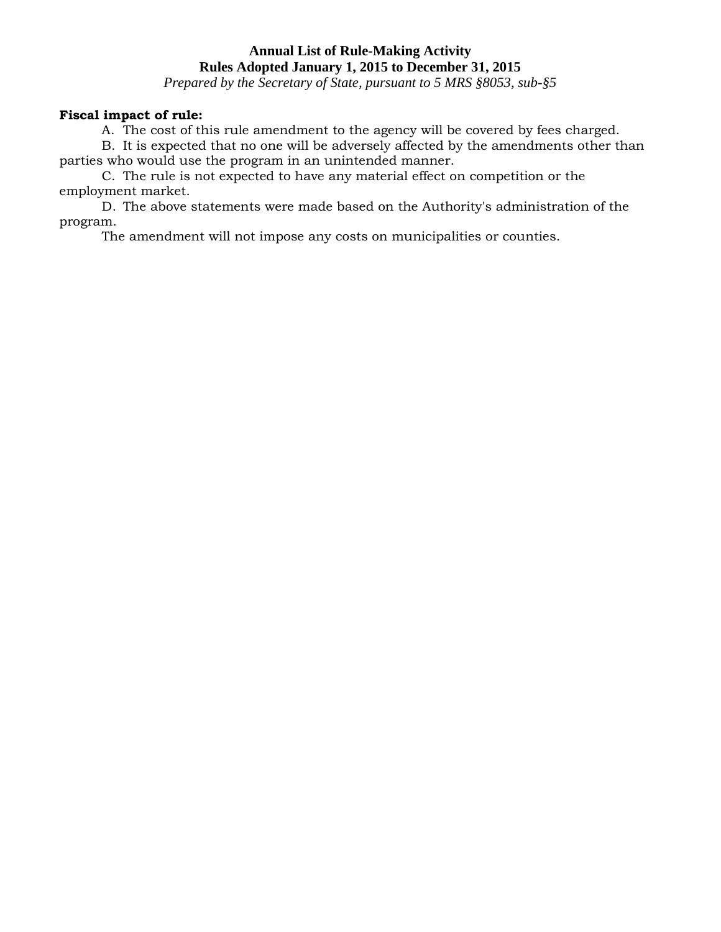*Prepared by the Secretary of State, pursuant to 5 MRS §8053, sub-§5*

### **Fiscal impact of rule:**

A. The cost of this rule amendment to the agency will be covered by fees charged.

B. It is expected that no one will be adversely affected by the amendments other than parties who would use the program in an unintended manner.

C. The rule is not expected to have any material effect on competition or the employment market.

D. The above statements were made based on the Authority's administration of the program.

The amendment will not impose any costs on municipalities or counties.